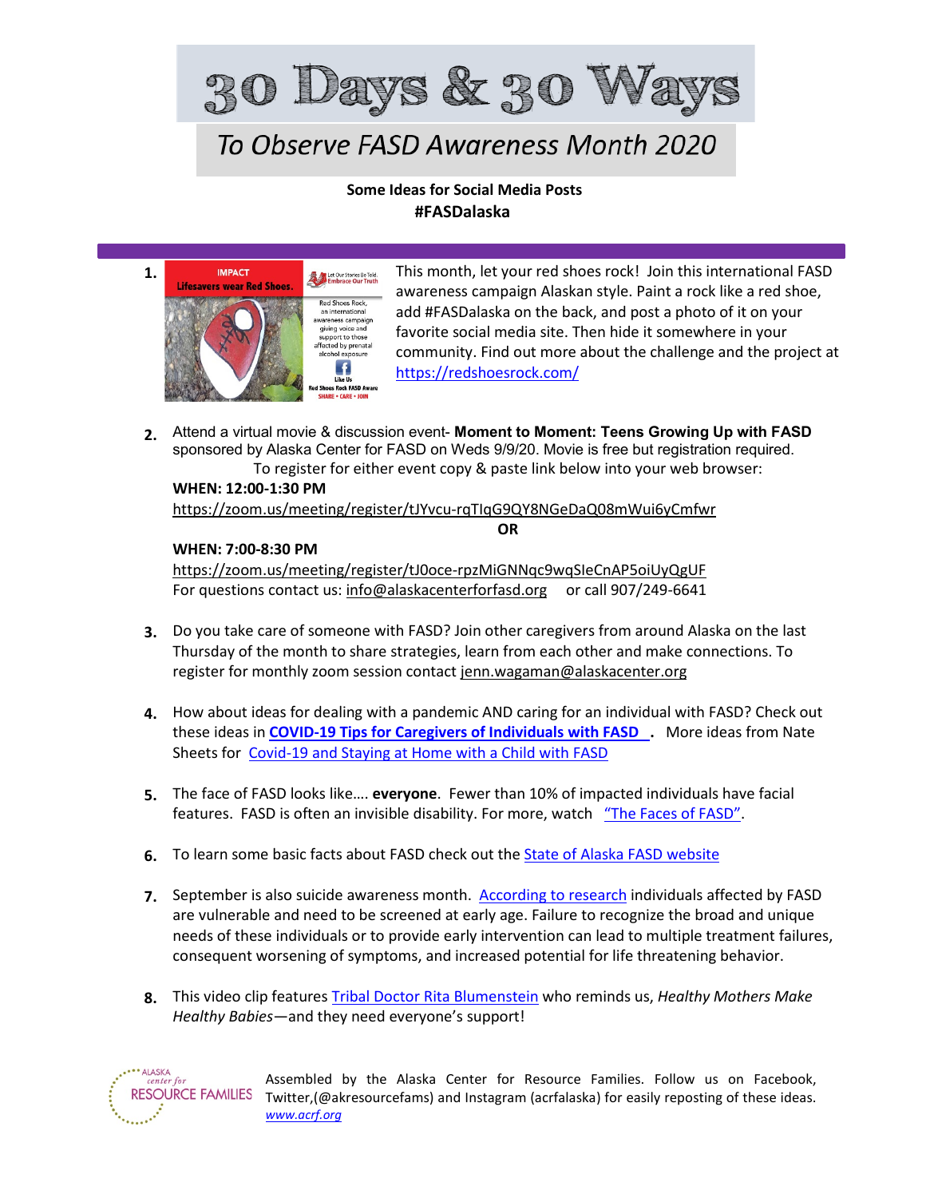30 Days & 30 Ways

## To Observe FASD Awareness Month 2020

 **Some Ideas for Social Media Posts #FASDalaska** 



 add #FASDalaska on the back, and post a photo of it on your community. Find out more about the challenge and the project at **1. IMPACT IMPACT SHOWS AND AND THIS MONEY TO A THE SHOPE CONTROL**<br>**Lifesavers wear Red Shoes. And This money our Truth** and a superpose commonism Algebra stude. Doint a rock like a rod shoe. awareness campaign Alaskan style. Paint a rock like a red shoe, favorite social media site. Then hide it somewhere in your <https://redshoesrock.com/>

 sponsored by Alaska Center for FASD on Weds 9/9/20. Movie is free but registration required. **2.** Attend a virtual movie & discussion event- **Moment to Moment: Teens Growing Up with FASD** 

**OR** 

 To register for either event copy & paste link below into your web browser: <https://zoom.us/meeting/register/tJYvcu-rqTIqG9QY8NGeDaQ08mWui6yCmfwr>**WHEN: 12:00-1:30 PM** 

**WHEN: 7:00-8:30 PM** 

**ALASKA** center for

https://zoom.us/meeting/register/tJ0oce-rpzMiGNNqc9wqSIeCnAP5oiUyQgUF https://zoom.us/meeting/register/tJ0oce-rpzMiGNNqc9wqSIeCnAP5oiUyQgUF<br>For questions contact us: <u>info@alaskacenterforfasd.org</u> or call 907/249-6641

- **3.** Do you take care of someone with FASD? Join other caregivers from around Alaska on the last Thursday of the month to share strategies, learn from each other and make connections. To register for monthly zoom session contact jenn.wagaman@alaskacenter.org
- these ideas in **[COVID-19 Tips for Caregivers of Individuals with FASD .](https://canfasdblog.com/2020/03/25/covid-19-tips-for-caregivers-of-individuals-with-fasd/)** More ideas from Nate Sheets for Covid-19 and Staying at Home with a Child with FASD **4.** How about ideas for dealing with a pandemic AND caring for an individual with FASD? Check out
- features. FASD is often an invisible disability. For more, watch ["The Faces of FASD".](https://www.youtube.com/watch?time_continue=1&v=QbCHaE21t3g) **5.** The face of FASD looks like…. **everyone**. Fewer than 10% of impacted individuals have facial
- **6.** To learn some basic facts about FASD check out th[e State of Alaska FASD website](http://dhss.alaska.gov/osmap/Pages/fasd-facts.aspx)
- **7.** September is also suicide awareness month. According to research individuals affected by FASD needs of these individuals or to provide early intervention can lead to multiple treatment failures, are vulnerable and need to be screened at early age. Failure to recognize the broad and unique consequent worsening of symptoms, and increased potential for life threatening behavior.
- **8.** This video clip features [Tribal Doctor Rita Blumenstein](https://youtu.be/gYHx_g6Lg2A) who reminds us, *Healthy Mothers Make Healthy Babies*—and they need everyone's support!

 Assembled by the Alaska Center for Resource Families. Follow us on Facebook,  *[www.acrf.org](http://www.acrf.org/)* RESOURCE FAMILIES Twitter,(@akresourcefams) and Instagram (acrfalaska) for easily reposting of these ideas.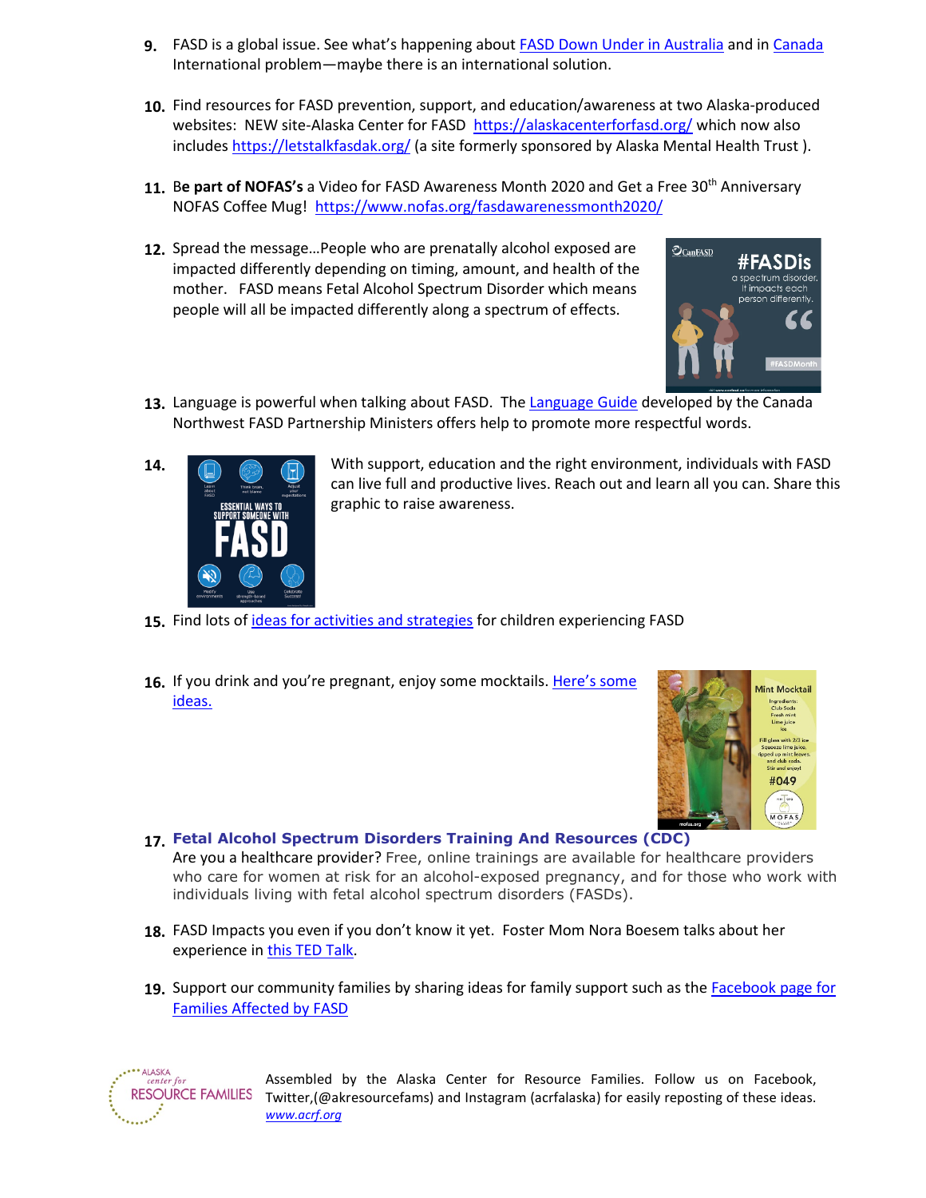- **9.** FASD is a global issue. See what's happening about **FASD Down Under in Australia** and in Canada International problem—maybe there is an international solution.
- websites: NEW site-Alaska Center for FASD <https://alaskacenterforfasd.org/>which now also include[s https://letstalkfasdak.org/](https://letstalkfasdak.org/) (a site formerly sponsored by Alaska Mental Health Trust). **10.** Find resources for FASD prevention, support, and education/awareness at two Alaska-produced
- NOFAS Coffee Mug! https://www.nofas.org/fasdawarenessmonth2020/ **11. Be part of NOFAS's** a Video for FASD Awareness Month 2020 and Get a Free 30<sup>th</sup> Anniversary
- mother. FASD means Fetal Alcohol Spectrum Disorder which means people will all be impacted differently along a spectrum of effects. **12.** Spread the message…People who are prenatally alcohol exposed are impacted differently depending on timing, amount, and health of the



 **13.** Language is powerful when talking about FASD. The [Language Guide](https://tinyurl.com/y465eh9e) developed by the Canada Northwest FASD Partnership Ministers offers help to promote more respectful words.



**ALASKA** center for

 can live full and productive lives. Reach out and learn all you can. Share this **14.** With support, education and the right environment, individuals with FASD graphic to raise awareness.

- **15.** Find lots of [ideas for activities and strategies](https://www.pinterest.com/nofas/fasd-activity-resources/) for children experiencing FASD
- [ideas.](https://www.thespruceeats.com/delicious-mocktail-recipes-4169329) 16. If you drink and you're pregnant, enjoy some mocktails. Here's some



- Are you a healthcare provider? Free, online trainings are available for healthcare providers who care for women at risk for an alcohol-exposed pregnancy, and for those who work with individuals living with fetal alcohol spectrum disorders (FASDs). **17. [Fetal Alcohol Spectrum Disorders Training And Resources \(CDC\)](https://nccd.cdc.gov/FASD/)**
- **18.** FASD Impacts you even if you don't know it yet. Foster Mom Nora Boesem talks about her experience in [this TED Talk.](https://tinyurl.com/yy9r4vl8)
- 19. Support our community families by sharing ideas for family support such as the **Facebook page for** [Families Affected by FASD](https://www.facebook.com/fasdfamilies?ref=br_rs)

 Assembled by the Alaska Center for Resource Families. Follow us on Facebook,  *[www.acrf.org](http://www.acrf.org/)* RESOURCE FAMILIES Twitter,(@akresourcefams) and Instagram (acrfalaska) for easily reposting of these ideas.